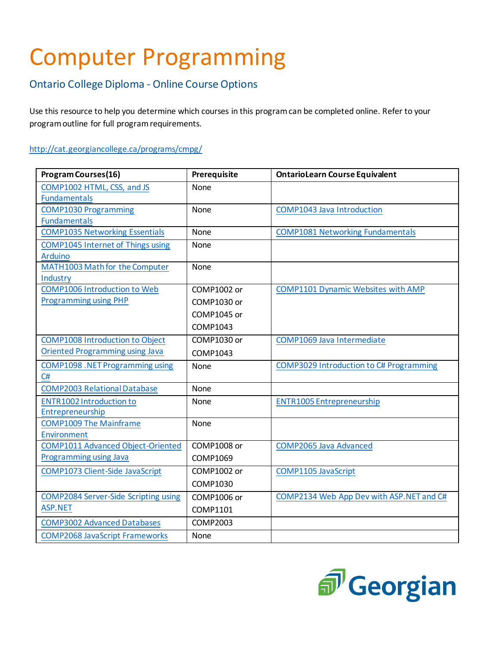## Computer Programming

## Ontario College Diploma - Online Course Options

Use this resource to help you determine which courses in this program can be completed online. Refer to your program outline for full program requirements.

## <http://cat.georgiancollege.ca/programs/cmpg/>

| <b>Program Courses(16)</b>                  | Prerequisite       | <b>OntarioLearn Course Equivalent</b>     |
|---------------------------------------------|--------------------|-------------------------------------------|
| COMP1002 HTML, CSS, and JS                  | <b>None</b>        |                                           |
| <b>Fundamentals</b>                         |                    |                                           |
| <b>COMP1030 Programming</b>                 | None               | <b>COMP1043 Java Introduction</b>         |
| <b>Fundamentals</b>                         |                    |                                           |
| <b>COMP1035 Networking Essentials</b>       | None               | <b>COMP1081 Networking Fundamentals</b>   |
| <b>COMP1045 Internet of Things using</b>    | None               |                                           |
| <b>Arduino</b>                              |                    |                                           |
| MATH1003 Math for the Computer              | None               |                                           |
| Industry                                    |                    |                                           |
| <b>COMP1006 Introduction to Web</b>         | COMP1002 or        | <b>COMP1101 Dynamic Websites with AMP</b> |
| <b>Programming using PHP</b>                | COMP1030 or        |                                           |
|                                             | COMP1045 or        |                                           |
|                                             | COMP1043           |                                           |
| <b>COMP1008 Introduction to Object</b>      | COMP1030 or        | COMP1069 Java Intermediate                |
| <b>Oriented Programming using Java</b>      | COMP1043           |                                           |
| <b>COMP1098</b> . NET Programming using     | None               | COMP3029 Introduction to C# Programming   |
| C#                                          |                    |                                           |
| <b>COMP2003 Relational Database</b>         | None               |                                           |
| <b>ENTR1002 Introduction to</b>             | None               | <b>ENTR1005 Entrepreneurship</b>          |
| Entrepreneurship                            |                    |                                           |
| <b>COMP1009 The Mainframe</b>               | <b>None</b>        |                                           |
| Environment                                 |                    |                                           |
| <b>COMP1011 Advanced Object-Oriented</b>    | COMP1008 or        | <b>COMP2065 Java Advanced</b>             |
| <b>Programming using Java</b>               | COMP1069           |                                           |
| COMP1073 Client-Side JavaScript             | <b>COMP1002 or</b> | <b>COMP1105 JavaScript</b>                |
|                                             | COMP1030           |                                           |
| <b>COMP2084 Server-Side Scripting using</b> | COMP1006 or        | COMP2134 Web App Dev with ASP.NET and C#  |
| <b>ASP.NET</b>                              | COMP1101           |                                           |
| <b>COMP3002 Advanced Databases</b>          | <b>COMP2003</b>    |                                           |
| <b>COMP2068 JavaScript Frameworks</b>       | None               |                                           |

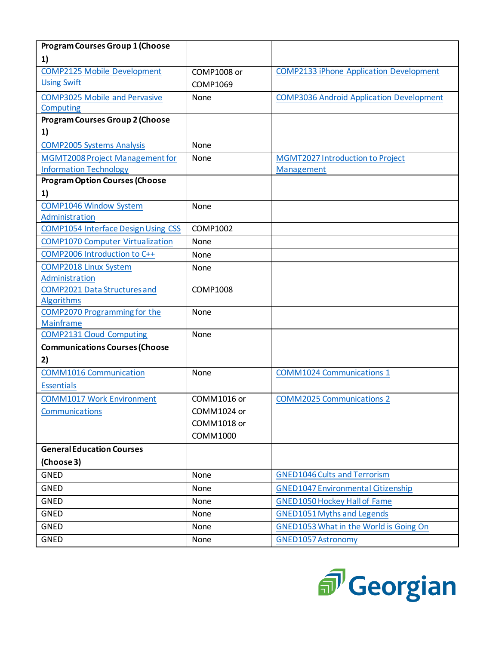| <b>Program Courses Group 1 (Choose</b>              |                 |                                                 |
|-----------------------------------------------------|-----------------|-------------------------------------------------|
| 1)                                                  |                 |                                                 |
| <b>COMP2125 Mobile Development</b>                  | COMP1008 or     | <b>COMP2133 iPhone Application Development</b>  |
| <b>Using Swift</b>                                  | COMP1069        |                                                 |
| <b>COMP3025 Mobile and Pervasive</b>                | None            | <b>COMP3036 Android Application Development</b> |
| Computing                                           |                 |                                                 |
| <b>Program Courses Group 2 (Choose</b>              |                 |                                                 |
| 1)                                                  |                 |                                                 |
| <b>COMP2005 Systems Analysis</b>                    | None            |                                                 |
| MGMT2008 Project Management for                     | None            | MGMT2027 Introduction to Project                |
| <b>Information Technology</b>                       |                 | Management                                      |
| <b>Program Option Courses (Choose</b>               |                 |                                                 |
| 1)                                                  |                 |                                                 |
| <b>COMP1046 Window System</b>                       | None            |                                                 |
| Administration                                      |                 |                                                 |
| <b>COMP1054 Interface Design Using CSS</b>          | COMP1002        |                                                 |
| <b>COMP1070 Computer Virtualization</b>             | None            |                                                 |
| COMP2006 Introduction to C++                        | None            |                                                 |
| <b>COMP2018 Linux System</b>                        | <b>None</b>     |                                                 |
| Administration                                      |                 |                                                 |
| <b>COMP2021 Data Structures and</b>                 | <b>COMP1008</b> |                                                 |
| <b>Algorithms</b>                                   |                 |                                                 |
| COMP2070 Programming for the                        | None            |                                                 |
| <b>Mainframe</b><br><b>COMP2131 Cloud Computing</b> | None            |                                                 |
|                                                     |                 |                                                 |
| <b>Communications Courses (Choose</b>               |                 |                                                 |
| 2)                                                  |                 |                                                 |
| <b>COMM1016 Communication</b>                       | None            | <b>COMM1024 Communications 1</b>                |
| <b>Essentials</b>                                   |                 |                                                 |
| <b>COMM1017 Work Environment</b>                    | COMM1016 or     | <b>COMM2025 Communications 2</b>                |
| Communications                                      | COMM1024 or     |                                                 |
|                                                     | COMM1018 or     |                                                 |
|                                                     | COMM1000        |                                                 |
| <b>General Education Courses</b>                    |                 |                                                 |
| (Choose 3)                                          |                 |                                                 |
| <b>GNED</b>                                         | <b>None</b>     | <b>GNED1046 Cults and Terrorism</b>             |
| <b>GNED</b>                                         | None            | <b>GNED1047 Environmental Citizenship</b>       |
| <b>GNED</b>                                         | None            | <b>GNED1050 Hockey Hall of Fame</b>             |
| <b>GNED</b>                                         | None            | <b>GNED1051 Myths and Legends</b>               |
| <b>GNED</b>                                         | None            | GNED1053 What in the World is Going On          |
| <b>GNED</b>                                         | None            | <b>GNED1057 Astronomy</b>                       |